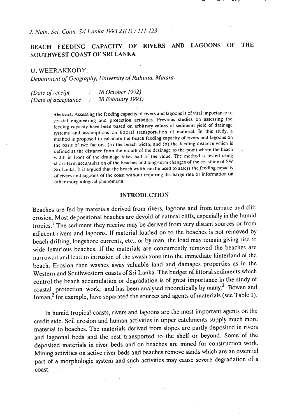*J. Nati~.* **Sci.** *Coun.* **SI~** *La~tka 1993 21(1)* : *111-123* 

# **REACH FEEDING CAPACITY OF RIVERS AND LAGOONS OF THE SOUTHWEST COAST OF SRI LANKA**

*U. WEERAKKODY,* 

*Department of Geography, University of Ruhuna, Matara.* 

*(Dale of r~lccipt* : <sup>16</sup>*October 1992) (Date of acceptance : 20 February 1993)* 

> Abstract: Assessing the feeding capacity of rivers and lagoons is of vital importance to coastal engineering and protection activities. Previous studies on assessing the feeding capacity have been based on arbitrary values of sediment yield of drainage systems and assumptions on littoral transportation of material. In this study, a method is proposed to calculate the beach feeding capacity of rivers and lagoons on the basis of two factors; (a) the beach width, and (b) the feeding distance which is defined as the distance from the mouth of the drainage to the point where the beach width in front of the drainage takes half of the value. The method is tested using short-term accumulation of the beaches and long-term changes of the coastline of SW Sri Lanka. It is argued that the beach width can be used to assess the feeding capacity of rivers and lagoons of the coast without requiring discharge rate or information on other morphological phenomena.

## **INTRODUCTION**

Beaches are fed by materials derived from rivers, lagoons and from terrace and cliff erosion. Most depositional beaches are devoid of natural cliffs, specially in the humid tropics.' The sediment they receive may be derived from very distant sources. or from adjacent rivers and lagoons. If material loaded on to the beaches is not removed by beach drifting, longshore currents, etc., or by man, the load may remain giving rise to wide luxurious beaches. If the materials are concurrently removed the beaches are narrowcd and lcad **lo** intrusion ol the swash zone into **the** immediale hinterland of the beach. Erosion then washes away valuable land and damages properties as in the Western and Southwestern coasts of Sri Lanka. The budget of littoral sediments which control the beach accumulation or degradation is of great importance in the study of coastal protection work, and has been analysed theoretically by many.2 Bowen and Inman, $2$  for example, have separated the sources and agents of materials (see Table 1).

In humid tropical coasts, rivers and lagoons are the most important agents on the credit side. Soil erosion and human activities in upper catchments supply much more material to beaches. The materials derived from slopes are partly deposited in rivers and lagoond beds and the rest transported to the shelf or beyond. Some of the deposited materials in river beds and on beaches are mined for construction work. Mining activities on active river beds and beaches remove sands which are an essential part of a morphologic system and such activities may cause severe degradation of a coast.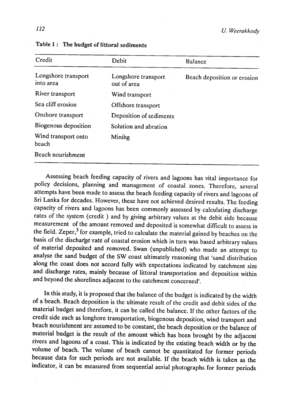| Credit                           | Debit                              | Balance                     |  |  |
|----------------------------------|------------------------------------|-----------------------------|--|--|
| Longshore transport<br>into area | Longshore transport<br>out of area | Beach deposition or erosion |  |  |
| River transport                  | Wind transport                     |                             |  |  |
| Sea cliff erosion                | Offshore transport                 |                             |  |  |
| Onshore transport                | Deposition of sediments            |                             |  |  |
| Biogenous deposition             | Solution and abration              |                             |  |  |
| Wind transport onto<br>beach     | Mining                             |                             |  |  |
| Beach nourishment                |                                    |                             |  |  |

## Table 1: The budget of littoral sediments

Assessing beach feeding capacity of rivers and lagoons has vital importance for policy decisions, planning and management of coastal zones. Therefore, several attempts have been made to assess the beach feeding capacity of rivers and lagoons of Sri Lanka for decades. However, these have not achieved desired results. The feeding capacity of rivers and lagoons has been commonly assessed by calculating discharge rates of the system (credit ) and by giving arbitrary values at the debit side because measurement of the amount removed and deposited is somewhat difficult to assess in the field. zeper? for example, tried to calculate the material gained by beaches on the basis of the discharge-rate of coastal erosion which in turn was based arbitrary values of material deposited and removed. Swan (unpublished) who made an attempt to analyse the sand budget of the SW coast ultimately reasoning that 'sand distribution along the coast does not accord fully with expectations indicated by catchment size and discharge rates, mainly because of littoral transportation and deposition within and beyond the shorelines adjacent to the catchment concerned'.

In this study, it is proposed that the balance of the budget is indicated by the width of a beach. Beach deposition is the ultimate result of the credit and debit sides of the material budget and therefore, it can be called the balance. If the other factors of the credit side such as longhore transportation, biogenous deposition, wind transport and beach nourishment are assumed to be constant, the beach deposition or the balance of material budget is the result of the amount which has been brought by the adjacent rivers and lagoons of a coast. This is indicated by the existing beach width or by the volume of beach. The volume of beach cannot be quantitated for former periods because data for such periods are not available. If the beach width is taken as the indicator, it can be measured from sequential aerial photographs for former periods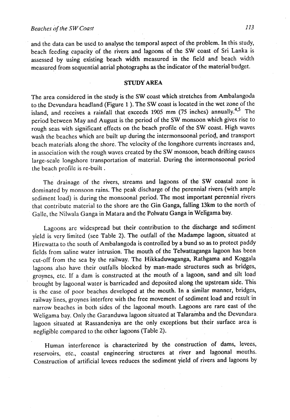and the data can be used to analyse the temporal aspect of the problem. In this study, beach feeding capacity of the rivers and lagoons of the SW coast of Sri Lanka is assessed by using existing beach width measured in the field and beach width measured from sequential aerial photographs as the indicator of the material budget.

## **STUDY AREA**

The area considered in the study is the SW coast which stretches from Ambalangoda to the Devundara headland (Figure 1 ). The SW coast is located in the wet zone of the island, and receives a rainfall that exceeds 1905 mm (75 inches) annually.<sup>4,5</sup> The period between May and August is the period of the SW monsoon which gives rise to rough seas with significant effects on the beach profile of the SW coast. High waves wash the beaches which are built up during the intermonsoonal period, and transport beach materials along the shore. The velocity of the longshore currents increases and, in association with the rough waves created by the SW monsoon, beach drifting causes large-scale longshore transportation of material. During the intermonsoonal period the beach profile is re-built .

The drainage of the rivers, streams and lagoons of the SW **coastal** zone is dominated by monsoon rains. The peak discharge of the perennial rivers (with ample sediment load) is during the monsoonal period. The most important perennial rivers that contribute material to the shore are the Gin Ganga, falling 13km to the north of Galle, the Nilwala Ganga in Matara and the Polwatu Ganga in Weligama bay.

Lagoons are widespread but their contribution to the discharge and sediment yield is very limited (see Table 2). The outfall of the Madampe lagoon, situated at Hirewatta to the south of Ambalangoda is controlled by a bund so as to protect paddy fields.from saline water intrusion. The mouth of the Telwattaganga lagoon has been cut-off from the sea by the railway. The Hikkaduwaganga, Rathgama and Koggala lagoons also have their outfalls blocked by man-made structures such as bridges, groynes, etc. If a dam is constructed at the mouth of a lagoon, sand and silt load brought by lagoonal water is barricaded and deposited along the upstream side. This is the case of poor beaches developed at the mouth. In a similar manner, bridges, railway lines, groynes interfere with the free movement of sediment load and result in narrow beaches in both sides of the lagoonal mouth. Lagoons are rare east of the Weligama bay. Only the Garanduwa lagoon situated at Talaramba and the Devundara. lagoon situated at Rassandeniya are the only exceptions but their surface area is negligible compared to the other lagoons (Table 2).

Human interference is characterized by the construction of dams, levees, reservoirs, etc., coastal engineering structures at river and lagoonal mouths. construction of artificial levees reduces the sediment yield of rivers and lagoons by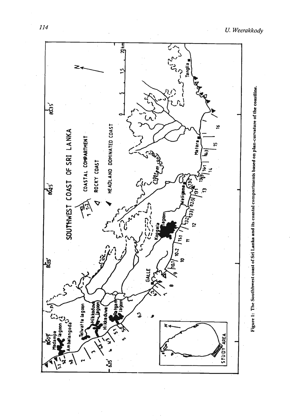

U. Weerakkody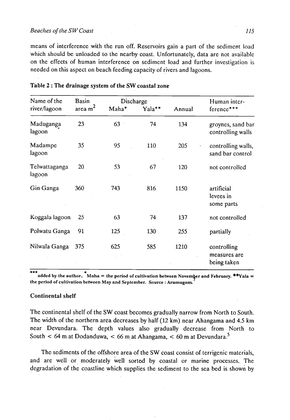#### *Beaches of the SW Coast* **<b>***115*

means of interference with the run off. Reservoirs gain a part of the sediment load which should be unloaded to the nearby coast. Unfortunately, data are not available on the effects of human interference on sediment load and further investigation is needed on this aspect on beach feeding capacity of rivers and lagoons.

| Name of the             | Basin     |       | Discharge |        | Human inter-                               |  |
|-------------------------|-----------|-------|-----------|--------|--------------------------------------------|--|
| river/lagoon            | area $m2$ | Maha* | Yala**    | Annual | ference***                                 |  |
| Maduganga<br>lagoon     | 23        | 63    | 74        | 134    | groynes, sand bar<br>controlling walls     |  |
| Madampe<br>lagoon       | 35        | 95    | 110       | 205    | controlling walls,<br>sand bar control     |  |
| Telwattaganga<br>lagoon | 20        | 53    | 67        | 120    | not controlled                             |  |
| Gin Ganga               | 360       | 743   | 816       | 1150   | artificial<br>levees in<br>some parts      |  |
| Koggala lagoon          | 25        | 63    | 74        | 137    | not controlled                             |  |
| Polwatu Ganga           | 91        | 125   | 130       | 255    | partially                                  |  |
| Nilwala Ganga           | 375       | 625   | 585       | 1210   | controlling<br>measures are<br>being taken |  |

## Table 2 : The drainage.systern of the SW coastal zone

**9.9 <b>ndded by the author.** \*Maha = the period of cultivation between November and February. \*\*Yala = **the period or cullivalion between Mny nnd September. Source** : **Arurnugnrn. <sup>5</sup>**

## Continental shelf

The continental shelf of the SW coast becomes gradually narrow from North to South. The width of the northern area decreases by half (12 km) near Ahangama and **4.5** km near Devundara. The depth values also gradually decrease from North to South  $\leq 64$  m at Dodanduwa,  $\leq 66$  m at Ahangama,  $\leq 60$  m at Devundara.<sup>5</sup>

The sediments of the offshore area of the SW coast consist of terrigenic materials, and are well or moderately well sorted by coastal or marine processes. The degradation of the coastline which supplies the sediment to the sea bed is shown by.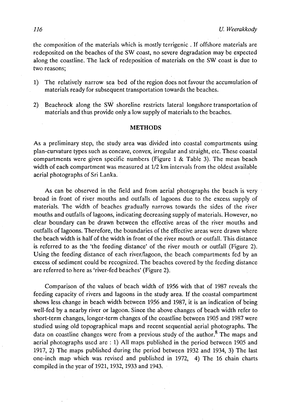the composition of the materials which is mostly terrigenic . If offshore materials are redeposited on the beaches of the SW coast, no severe degradation may be expected along the coastline. The lack of redeposition of materials on the SW coast is due to two reasons;

- 1) The relatively narrow sea bed of the region does not favour the accumulation of materials ready for subsequent transportation towards the beaches.
- 2) Beachrock along the SW shoreline restricts lateral longshore transportation of materials and thus provide only a low supply of materials to the beaches.

### **METHODS**

**As** a preliminary step, the study area wasdivided into coastal compartments using plan-curvature types such as concave, convex, irregular and straight, etc. These coastal compartments were given specific numbers (Figure 1 & Table 3). The mean beach width of each compartment was measured at 112 km intervals from the oldest available aerial photographs of Sri Lanka.

As can be observed in the field and from aerial photographs the beach is very broad in front of river mouths and outfalls of lagoons due to the excess supply of materials. The width of beaches gradually narrows towards the sides of the river mouths and outfalls of lagoons, indicating decreasing supply of materials. However, no clear boundary can be drawn between the effective areas of the river mouths and outfalls of lagoons. Therefore, the boundaries of the effective areas were drawn where the beach width is half of the width in front of the river mouth or outfall. This distance is referred to as the 'the feeding distance' of the river mouth or outfall (Figure 2). Using the feeding distance of each river/lagoon, the beach compartments fed by an excess of sediment could be recognized. The beaches covered by the feeding distance are referred to here as 'river-fed beaches' (Figure 2).

Comparison of the values of beach width of 1956 with that of 1987 reveals the feeding capacity of rivers and lagoons in the study area. If the coastal compartment shows less change in beach width between 1956 and 1987, it is an indication of being well-fed by a nearby river or lagoon. Since the above changes of beach width refer to short-term changes, longer-term changes of the coastline between 1905 and 1987 were studied using old topographical maps and recent sequential aerial photographs. The data on coastline changes were from a previous study of the author.<sup>8</sup> The maps and aerial photographs used are : 1) All maps published in the period between 1905 and 1917, 2) The maps published during the period between 1932 and 1934, 3) The last one-inch map which was revised and published in 1972, 4) The 16 chain charts compiled in the year of 1921, 1932, 1933 and 1943.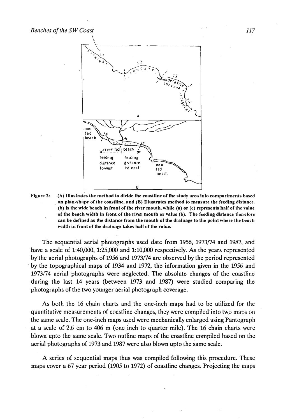

Figure 2: (A) Illustrates the method to divide the coastline of the study area into compartments based on plan-shape of the coastline, and (B) Illustrales method lo measure the feeding distance. (b) is the wide beach in front of the river mouth, while (a) or (c) represents half of the value of the beach width in front of the river mouth or value (b). The feeding distance therefore can be defined as the distance from the mouth of the drainage to the point where the beach width in front of the drainage takes half of the value.

The sequential aerial photographs used date from 1956, 1973/74 and 1987, and have a scale of 1:40,000, 1:25,000 and 1:10,000 respectively. As the years represented by the aerial photographs of 1956 and 1973/74 are observed by the period represented by the topographical maps of 1934 and 1972, the information given in the 1956 and 1973174 aerial photographs were neglected. The absolute changes of the coastline during the last 14 years (between 1973 and 1987) were studied comparing the photographs of the two younger aerial photograph coverage.

As both the 16 chain charts and the one-inch maps had to be utilized for the quantitative measurements of coastline changes, they were compiled.into two maps on the same scale. The one-inch maps used were mechanically enlarged using Pantograph at a scale of 2.6 cm to 406 m (one inch to quarter mile). The 16 chain charts were blown upto the same scale. Two outline maps of the coastline compiled based on the aerial photographs of 1973 and 1987 were also blown upto the same scale.

A series of sequential maps thus was compiled following this procedure. These maps cover a 67 year period (1905 to 1972) of coastline changes. Projecting the maps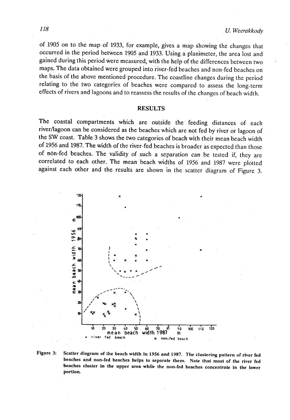of 1905 on to the map of 1933, for example, gives a map showing the changes that occurred in the period between 1905 and 1933. Using a planimeter, the area lost and gained during this period were measured, with the help of the differences between two maps. The data obtained were grouped into river-fed beaches and non-fed beaches on the basis of the above mentioned procedure. The coastline changes during the period relating to the two categories of beaches were compared to assess the long-term effects of rivers and lagoons and to reassess the results of the changes of beach width.

#### RESULTS

The coastal compartments which are outside the feeding distances of each river/lagoon can be considered as the beaches which are not fed by river or lagoon of the SW coast. Table 3 shows the two categories of beach with their mean beach width of 1956 and 1987. **The** width of the river-fed beaches is broader as expected than those of n6n-fed beaches. The validity of such a separation can be tested if, they are correlated to each other. The mean beach widths of 1956 and 1987 were plotted against each other and the results are shown in the scatter diagram of Figure 3.



**Figure 3:** . **Scatter diagram of the bench width in 1956 and L987. The clustering pntlern of river fed**  beaches and non-fed beaches helps to separate them. Note that most of the river fed **beaches cluster in the upper area while the non-fed beaches concentrnle in the lower portion.**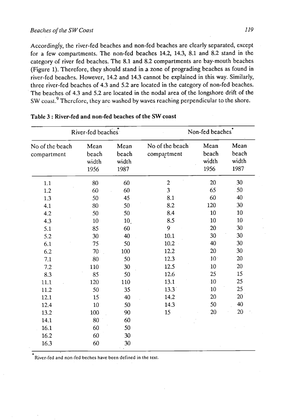## *Beaclles* **of** *the* **SW Coast** *119*

Accordingly, the river-fed beaches and non-fed beaches are clearly separated, except for a few compartments. The non-fed beaches 14.2, 14.3, 8.1 and 8.2 stand in the category of river fed beaches. The 8.1- and 8.2 compartments are bay-mouth beaches (Figure 1). Therefore, they should stand in a zone of prograding beaches as found in river-fed beaches. However, 14.2 and 14.3 cannot be explained in this way. Similarly, three river-fed beaches of 4.3 and 5.2 are located in the category of non-fed beaches. The beaches of 4.3 and 5.2 are located in the nodal area of the longshore drift of the SW coast.<sup>9</sup> Therefore, they are washed by waves reaching perpendicular to the shore.

|                                | River-fed beaches              |                                | Non-fed beaches <sup>*</sup>   |                                |                                |  |  |
|--------------------------------|--------------------------------|--------------------------------|--------------------------------|--------------------------------|--------------------------------|--|--|
| No of the beach<br>compartment | Mean<br>beach<br>width<br>1956 | Mean<br>beach<br>width<br>1987 | No of the beach<br>compartment | Mean<br>beach<br>width<br>1956 | Mean<br>beach<br>width<br>1987 |  |  |
| 1.1                            | 80                             | 60                             | $\overline{2}$                 | 20                             | 30                             |  |  |
| 1.2                            | 60                             | 60                             | $\overline{\mathbf{3}}$        | 65                             | 50                             |  |  |
| 1.3                            | 50                             | 45                             | 8.1                            | 60                             | 40                             |  |  |
| 4.1                            | 80                             | 50                             | 8.2                            | 120                            | 30                             |  |  |
| 4.2                            | 50                             | 50                             | 8.4                            | 10                             | 10                             |  |  |
| 4.3                            | 10                             | 10.                            | 8.5                            | 10                             | 10                             |  |  |
| 5.1                            | 85                             | 60                             | 9                              | 20                             | 30                             |  |  |
| 5.2                            | 30                             | 40                             | 10.1                           | 30                             | 30                             |  |  |
| 6.1                            | 75                             | 50                             | 10.2                           | 40                             | 30                             |  |  |
| 6.2                            | 70                             | 100                            | 12.2                           | 20                             | 30                             |  |  |
| 7.1                            | 80                             | 50                             | 12.3                           | 10 <sup>1</sup>                | 20                             |  |  |
| 7.2                            | 110                            | 30                             | 12.5                           | 10                             | 20                             |  |  |
| 8.3                            | 85                             | 50                             | 12.6                           | 25                             | 15                             |  |  |
| 11.1                           | 120                            | 110                            | 13.1                           | 10                             | 25                             |  |  |
| 11.2                           | 50                             | 35                             | 13.3                           | 10                             | 25                             |  |  |
| 12.1                           | 15                             | 40                             | 14.2                           | 20                             | 20                             |  |  |
| 12.4                           | 10                             | 50                             | 14.3                           | 50                             | 40                             |  |  |
| 13.2                           | 100                            | 90                             | 15                             | 20                             | 20                             |  |  |
| 14.1                           | 80                             | 60                             |                                |                                |                                |  |  |
| 16.1                           | 60                             | 50                             |                                |                                |                                |  |  |
| 16.2                           | 60                             | 30                             |                                |                                |                                |  |  |
| 16.3                           | 60                             | 30                             |                                |                                |                                |  |  |

## Table 3 : River-fed and non-fed beaches of the SW coast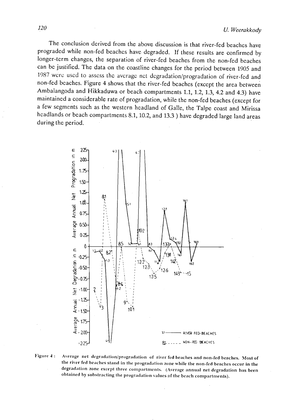The conclusion derived from the above discussion is that river-fed beaches have prograded while non-fed beaches have degraded. If these results are confirmed by longer-term changes, the separation of river-fed beaches from the non-fed beaches can bc justified. The data on the coastline changes for the period between 1905 and 1987 were used to assess the average net degradation/progradation of river-fed and non-fed beaches. Figure 4 shows that the river-fed beaches (except the area between Ambalangoda and Hikkaduwa or beach compartments 1.1, 1.2, 1.3, 4.2 and 4.3) have maintained a considerable rate of progradation, while the non-fed beaches (except for a few segments such as the western headland of Galle, the Talpe coast and Mirissa headlands or beach compartments 8.1, 10.2, and 13.3 ) have degraded large land areas during the period.



Figure 4: Average net degradation/progradation of river fed beaches and non-fed beaches. Most of the river fed beaches stand in the progradation zone while the non-fed-beaches occur in the degradation zone except three compartments. (Average annual net degradation has been obtained by substracting the progradation values of the beach compartments).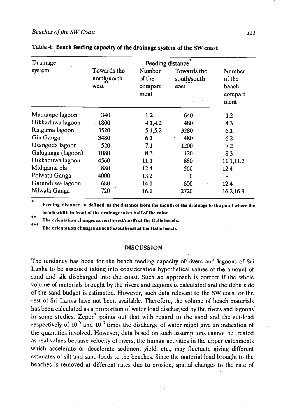| Drainage           |                                    |                                     | Feeding distance                   |                                              |  |
|--------------------|------------------------------------|-------------------------------------|------------------------------------|----------------------------------------------|--|
| system             | Towards the<br>north/north<br>west | Number<br>of the<br>compart<br>ment | Towards the<br>south/south<br>east | Number<br>of the<br>beach<br>compart<br>ment |  |
| Madampe lagoon     | 340                                | 1.2                                 | 640                                | 1.2                                          |  |
| Hikkaduwa lagoon   | 1800                               | 4.1, 4.2                            | 480                                | 4.3                                          |  |
| Ratgama lagoon     | 3520                               | 5.1,5.2                             | 3280                               | 6.1                                          |  |
| Gin Ganga          | 3480                               | 6.1                                 | 480                                | 6.2                                          |  |
| Osangoda lagoon    | 520                                | 7.1                                 | 1200                               | 7.2                                          |  |
| Galuganga (lagoon) | 1080                               | 8.3                                 | 120                                | 8.3                                          |  |
| Hikkaduwa lagoon   | 4560                               | 11.1                                | 880                                | 11.1,11.2                                    |  |
| Midigama ela       | 880                                | 12.4                                | 560                                | 12.4                                         |  |
| Polwatu Ganga      | 4000                               | 13.2                                | 0                                  |                                              |  |
| Garanduwa lagoon   | 680                                | 14.1                                | 600                                | 12.4                                         |  |
| Nilwala Ganga      | 720                                | 16.1                                | 2720                               | 16.2, 16.3                                   |  |

|  |  |  |  |  | Table 4: Beach feeding capacity of the drainage system of the SW coast |  |  |  |  |
|--|--|--|--|--|------------------------------------------------------------------------|--|--|--|--|
|--|--|--|--|--|------------------------------------------------------------------------|--|--|--|--|

\* **Feeding distance is defined as the distance from the mouth of the drainage lo the polnlwhere the**  beach width in front of the drainage takes half of the value.

The orientation changes as northwest/north at the Galle beach..

The orientation changes as south/southeast at the Galle beach.

#### **DISCUSSION**

The tendancy has been for the beach feeding capacity of $\epsilon$ rivers and lagoons of Sri Lanka to be assessed taking into consideration hypothetical values of the amount of sand and silt discharged into the coast. Such an approach is correct if the whole volume of materials brought by the rivers and lagoons is calculated and the debit side of the sand budget is estimated. However, such data relevant to the SW coast or the rest of Sri Lanka have not been available. Therefore, the volume of beach materials has been calculated as a proportion of water load discharged by the rivers and lagoons in some studies. Zeper<sup>3</sup> points out that with regard to the sand and the silt-load respectively of  $10^{-5}$  and  $10^{-4}$  times the discharge of water might give an indication of the quantities involved. However, data based on such assumptions cannot be treated as real values because velocity of rivers, the human activities in the upper catchments which accelerate or decelerate sediment yield, etc., may fluctuate giving different estimates of silt and sand-loads to the beaches. Since the material load brought to the beaches is removed at different rates due to erosion, spatial changes to the rate of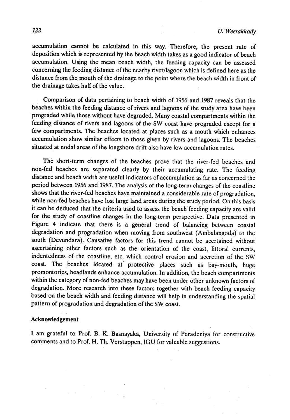accumulation cannot be calculated in this way. Therefore, the present rate of deposition which is represented by the beach width takes as a good indicator of beach accumulation. Using the mean beach width, the feeding capacity can be assessed concerning the feeding distance of the nearby riverllagoon which is defined here as the distance from the mouth of the drainage to the point where the beach width in front of. the drainage takes half of the value.

Comparison of data pertaining to beach width of **1956** and **1987** reveals that the beaches within the feeding distance of rivers and lagoons of the study area have been prograded while those without have degraded. Many coastal compartments within the feeding distance of rivers and lagoons of the **SW** coast have prograded except for a few compartments. The beaches located at places such as a mouth which enhances accumulation show similar effects to those given by rivers and lagoons. The beaches situated at nodal areas of the longshore drift also have low accumulation rates.

The short-term changes of the beaches prove that the river-fed beaches and non-fed beaches are separated clearly by their accumulating rate. The feeding distance and beach width are useful indicators of accumulation as far as concerned the period between **1956** and **1987.** The analysis of the long-term changes of the coastline shows that the river-fed beaches have maintained a considerable rate of progradation, while non-fed beaches have lost large land areas during the study period. On this basis it can be deduced that the criteria used to assess the beach feeding capacity are valid for the study of coastline changes in the long-term perspective. Data presented in Figure 4 indicate that there is a general trend of balancing between coastal degradation and progradation when moving from southwest (Ambalangoda) to the south (Devundara). Causative factors for this trend cannot be acertained without ascertaining other factors such as the orientation of the coast, littoral currents, indentedness of the coastline, etc. which control erosion and accretion of the **SW**  coast. The beaches located at protective places such as bay-mouth, huge promontories, headlands enhance accumulation. In addition, the beach compartments within the category of non-fed beaches may have been under other unknown factors of degradation. More research into these factors together with beach feeding capacity based on the beach width and feeding distance will help in understanding the spatial pattern of progradation and degradation of the **SW** coast.

#### **Acknowledgement**

I am grateful to Prof. B. K. Basnayaka, University of Peradeniya for constructive comments and to Prof. H. Th. Verstappen, **IGU** for valuable suggestions.